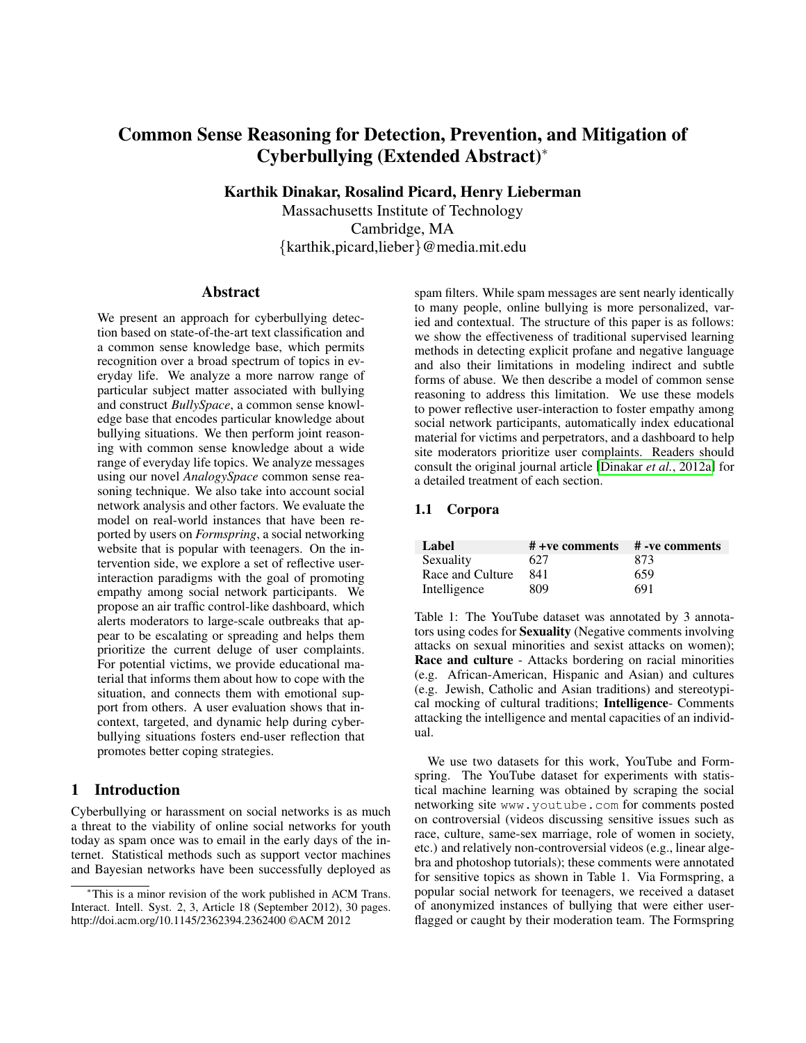# Common Sense Reasoning for Detection, Prevention, and Mitigation of Cyberbullying (Extended Abstract)<sup>∗</sup>

Karthik Dinakar, Rosalind Picard, Henry Lieberman

Massachusetts Institute of Technology Cambridge, MA {karthik,picard,lieber}@media.mit.edu

#### Abstract

We present an approach for cyberbullying detection based on state-of-the-art text classification and a common sense knowledge base, which permits recognition over a broad spectrum of topics in everyday life. We analyze a more narrow range of particular subject matter associated with bullying and construct *BullySpace*, a common sense knowledge base that encodes particular knowledge about bullying situations. We then perform joint reasoning with common sense knowledge about a wide range of everyday life topics. We analyze messages using our novel *AnalogySpace* common sense reasoning technique. We also take into account social network analysis and other factors. We evaluate the model on real-world instances that have been reported by users on *Formspring*, a social networking website that is popular with teenagers. On the intervention side, we explore a set of reflective userinteraction paradigms with the goal of promoting empathy among social network participants. We propose an air traffic control-like dashboard, which alerts moderators to large-scale outbreaks that appear to be escalating or spreading and helps them prioritize the current deluge of user complaints. For potential victims, we provide educational material that informs them about how to cope with the situation, and connects them with emotional support from others. A user evaluation shows that incontext, targeted, and dynamic help during cyberbullying situations fosters end-user reflection that promotes better coping strategies.

# 1 Introduction

Cyberbullying or harassment on social networks is as much a threat to the viability of online social networks for youth today as spam once was to email in the early days of the internet. Statistical methods such as support vector machines and Bayesian networks have been successfully deployed as spam filters. While spam messages are sent nearly identically to many people, online bullying is more personalized, varied and contextual. The structure of this paper is as follows: we show the effectiveness of traditional supervised learning methods in detecting explicit profane and negative language and also their limitations in modeling indirect and subtle forms of abuse. We then describe a model of common sense reasoning to address this limitation. We use these models to power reflective user-interaction to foster empathy among social network participants, automatically index educational material for victims and perpetrators, and a dashboard to help site moderators prioritize user complaints. Readers should consult the original journal article [\[Dinakar](#page-4-0) *et al.*, 2012a] for a detailed treatment of each section.

#### 1.1 Corpora

| Label            | $# +ve$ comments $# -ve$ comments |     |
|------------------|-----------------------------------|-----|
| Sexuality        | 627                               | 873 |
| Race and Culture | 841                               | 659 |
| Intelligence     | 809                               | 691 |

Table 1: The YouTube dataset was annotated by 3 annotators using codes for Sexuality (Negative comments involving attacks on sexual minorities and sexist attacks on women); Race and culture - Attacks bordering on racial minorities (e.g. African-American, Hispanic and Asian) and cultures (e.g. Jewish, Catholic and Asian traditions) and stereotypical mocking of cultural traditions; Intelligence- Comments attacking the intelligence and mental capacities of an individual.

We use two datasets for this work, YouTube and Formspring. The YouTube dataset for experiments with statistical machine learning was obtained by scraping the social networking site www.youtube.com for comments posted on controversial (videos discussing sensitive issues such as race, culture, same-sex marriage, role of women in society, etc.) and relatively non-controversial videos (e.g., linear algebra and photoshop tutorials); these comments were annotated for sensitive topics as shown in Table 1. Via Formspring, a popular social network for teenagers, we received a dataset of anonymized instances of bullying that were either userflagged or caught by their moderation team. The Formspring

<sup>∗</sup>This is a minor revision of the work published in ACM Trans. Interact. Intell. Syst. 2, 3, Article 18 (September 2012), 30 pages. http://doi.acm.org/10.1145/2362394.2362400 ©ACM 2012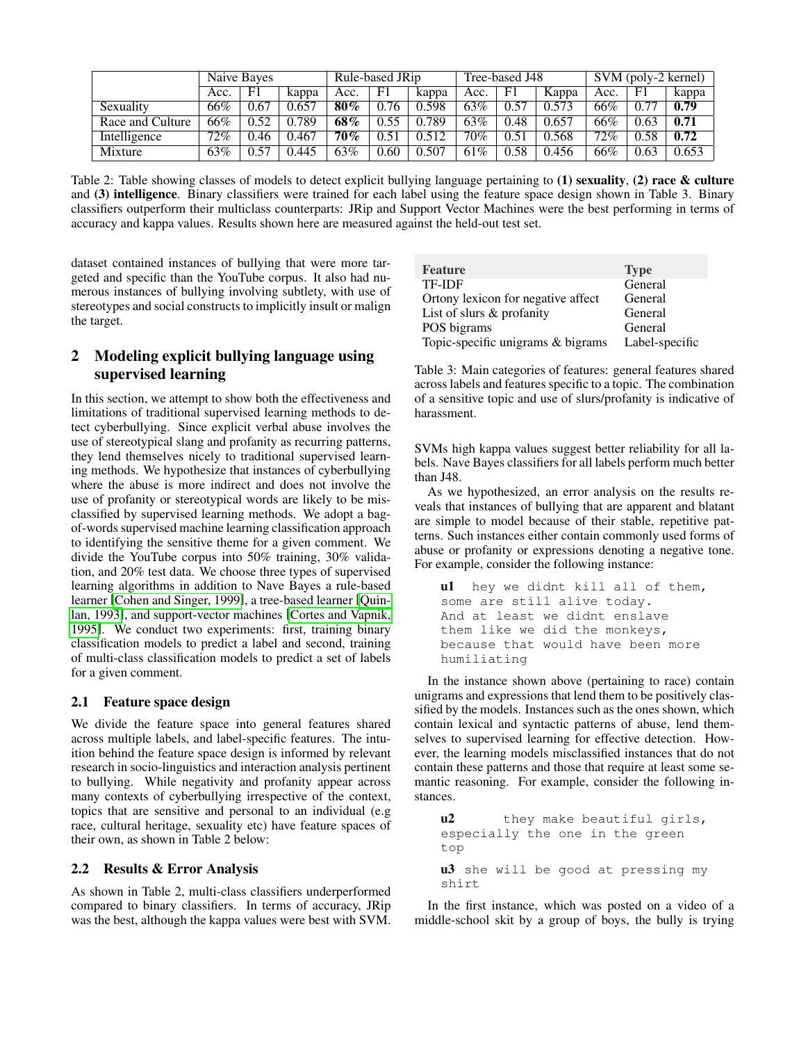|                  | Naive Bayes |              | Rule-based JRip |        | Tree-based J48 |       | SVM (poly-2 kernel) |      |       |      |      |       |
|------------------|-------------|--------------|-----------------|--------|----------------|-------|---------------------|------|-------|------|------|-------|
|                  | Acc.        | F1           | kappa           | Acc.   | F1             | kappa | Acc.                | F1   | Kappa | Acc. | F1   | kappa |
| Sexuality        | 66%         | 0.67         | 0.657           | $80\%$ | 0.76           | 0.598 | 63%                 | 0.57 | 0.573 | 66%  | 0.77 | 0.79  |
| Race and Culture | 66%         | 0.52         | 0.789           | 68%    | 0.55           | 0.789 | 63%                 | 0.48 | 0.657 | 66%  | 0.63 | 0.71  |
| Intelligence     | $72\%$      | 0.46         | 0.467           | 70%    | 0.51           | 0.512 | 70%                 | 0.51 | 0.568 | 72%  | 0.58 | 0.72  |
| Mixture          | 63%         | $\sqrt{.57}$ | 0.445           | 63%    | 0.60           | 0.507 | 61%                 | 0.58 | 0.456 | 66%  | 0.63 | 0.653 |

Table 2: Table showing classes of models to detect explicit bullying language pertaining to  $(1)$  sexuality,  $(2)$  race & culture and (3) intelligence. Binary classifiers were trained for each label using the feature space design shown in Table 3. Binary classifiers outperform their multiclass counterparts: JRip and Support Vector Machines were the best performing in terms of accuracy and kappa values. Results shown here are measured against the held-out test set.

dataset contained instances of bullying that were more targeted and specific than the YouTube corpus. It also had numerous instances of bullying involving subtlety, with use of stereotypes and social constructs to implicitly insult or malign the target.

## 2 Modeling explicit bullying language using supervised learning

In this section, we attempt to show both the effectiveness and limitations of traditional supervised learning methods to detect cyberbullying. Since explicit verbal abuse involves the use of stereotypical slang and profanity as recurring patterns, they lend themselves nicely to traditional supervised learning methods. We hypothesize that instances of cyberbullying where the abuse is more indirect and does not involve the use of profanity or stereotypical words are likely to be misclassified by supervised learning methods. We adopt a bagof-words supervised machine learning classification approach to identifying the sensitive theme for a given comment. We divide the YouTube corpus into 50% training, 30% validation, and 20% test data. We choose three types of supervised learning algorithms in addition to Nave Bayes a rule-based learner [\[Cohen and Singer, 1999\]](#page-4-1), a tree-based learner [\[Quin](#page-4-2)[lan, 1993\]](#page-4-2), and support-vector machines [\[Cortes and Vapnik,](#page-4-3) [1995\]](#page-4-3). We conduct two experiments: first, training binary classification models to predict a label and second, training of multi-class classification models to predict a set of labels for a given comment.

#### 2.1 Feature space design

We divide the feature space into general features shared across multiple labels, and label-specific features. The intuition behind the feature space design is informed by relevant research in socio-linguistics and interaction analysis pertinent to bullying. While negativity and profanity appear across many contexts of cyberbullying irrespective of the context, topics that are sensitive and personal to an individual (e.g race, cultural heritage, sexuality etc) have feature spaces of their own, as shown in Table 2 below:

### 2.2 Results & Error Analysis

As shown in Table 2, multi-class classifiers underperformed compared to binary classifiers. In terms of accuracy, JRip was the best, although the kappa values were best with SVM.

| <b>Feature</b>                     | <b>Type</b>    |
|------------------------------------|----------------|
| <b>TF-IDF</b>                      | General        |
| Ortony lexicon for negative affect | General        |
| List of slurs & profanity          | General        |
| POS bigrams                        | General        |
| Topic-specific unigrams & bigrams  | Label-specific |

Table 3: Main categories of features: general features shared across labels and features specific to a topic. The combination of a sensitive topic and use of slurs/profanity is indicative of harassment.

SVMs high kappa values suggest better reliability for all labels. Nave Bayes classifiers for all labels perform much better than J48.

As we hypothesized, an error analysis on the results reveals that instances of bullying that are apparent and blatant are simple to model because of their stable, repetitive patterns. Such instances either contain commonly used forms of abuse or profanity or expressions denoting a negative tone. For example, consider the following instance:

```
ul hey we didnt kill all of them,
some are still alive today.
And at least we didnt enslave
them like we did the monkeys,
because that would have been more
humiliating
```
In the instance shown above (pertaining to race) contain unigrams and expressions that lend them to be positively classified by the models. Instances such as the ones shown, which contain lexical and syntactic patterns of abuse, lend themselves to supervised learning for effective detection. However, the learning models misclassified instances that do not contain these patterns and those that require at least some semantic reasoning. For example, consider the following instances.

```
u2 they make beautiful girls,
especially the one in the green
top
u3 she will be good at pressing my
shirt
```
In the first instance, which was posted on a video of a middle-school skit by a group of boys, the bully is trying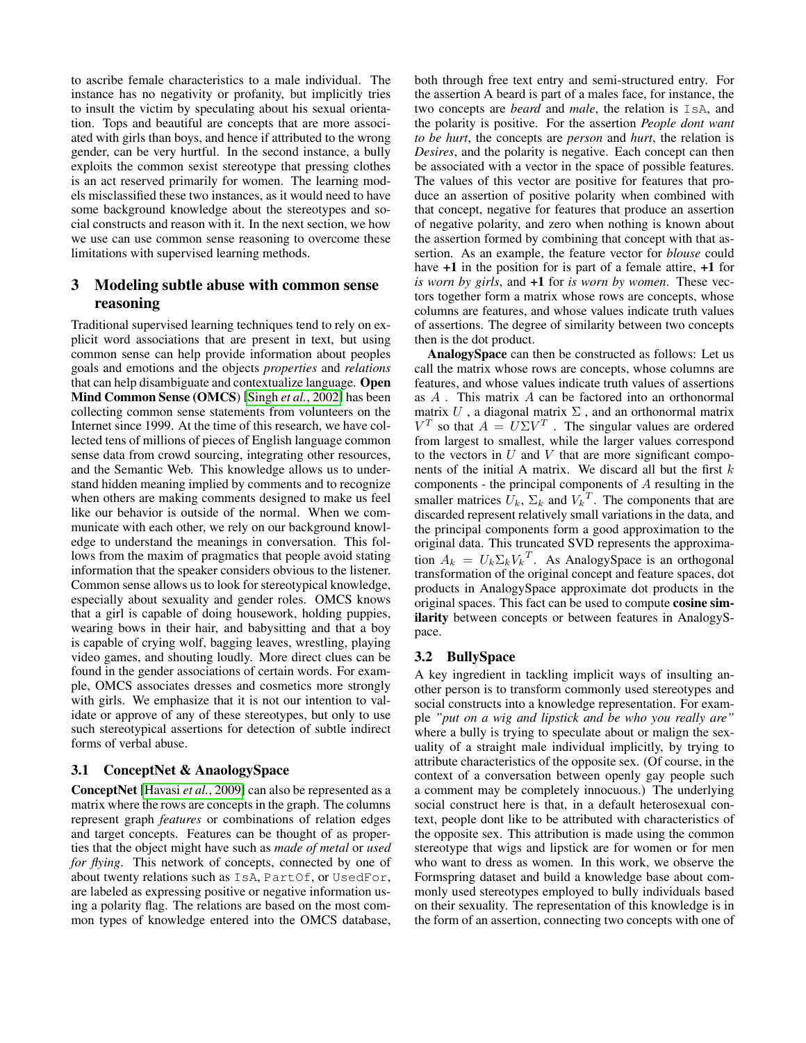to ascribe female characteristics to a male individual. The instance has no negativity or profanity, but implicitly tries to insult the victim by speculating about his sexual orientation. Tops and beautiful are concepts that are more associated with girls than boys, and hence if attributed to the wrong gender, can be very hurtful. In the second instance, a bully exploits the common sexist stereotype that pressing clothes is an act reserved primarily for women. The learning models misclassified these two instances, as it would need to have some background knowledge about the stereotypes and social constructs and reason with it. In the next section, we how we use can use common sense reasoning to overcome these limitations with supervised learning methods.

# 3 Modeling subtle abuse with common sense reasoning

Traditional supervised learning techniques tend to rely on explicit word associations that are present in text, but using common sense can help provide information about peoples goals and emotions and the objects *properties* and *relations* that can help disambiguate and contextualize language. Open Mind Common Sense (OMCS) [Singh *et al.*[, 2002\]](#page-4-4) has been collecting common sense statements from volunteers on the Internet since 1999. At the time of this research, we have collected tens of millions of pieces of English language common sense data from crowd sourcing, integrating other resources, and the Semantic Web. This knowledge allows us to understand hidden meaning implied by comments and to recognize when others are making comments designed to make us feel like our behavior is outside of the normal. When we communicate with each other, we rely on our background knowledge to understand the meanings in conversation. This follows from the maxim of pragmatics that people avoid stating information that the speaker considers obvious to the listener. Common sense allows us to look for stereotypical knowledge, especially about sexuality and gender roles. OMCS knows that a girl is capable of doing housework, holding puppies, wearing bows in their hair, and babysitting and that a boy is capable of crying wolf, bagging leaves, wrestling, playing video games, and shouting loudly. More direct clues can be found in the gender associations of certain words. For example, OMCS associates dresses and cosmetics more strongly with girls. We emphasize that it is not our intention to validate or approve of any of these stereotypes, but only to use such stereotypical assertions for detection of subtle indirect forms of verbal abuse.

#### 3.1 ConceptNet & AnaologySpace

ConceptNet [\[Havasi](#page-4-5) *et al.*, 2009] can also be represented as a matrix where the rows are concepts in the graph. The columns represent graph *features* or combinations of relation edges and target concepts. Features can be thought of as properties that the object might have such as *made of metal* or *used for flying*. This network of concepts, connected by one of about twenty relations such as IsA, PartOf, or UsedFor, are labeled as expressing positive or negative information using a polarity flag. The relations are based on the most common types of knowledge entered into the OMCS database, both through free text entry and semi-structured entry. For the assertion A beard is part of a males face, for instance, the two concepts are *beard* and *male*, the relation is IsA, and the polarity is positive. For the assertion *People dont want to be hurt*, the concepts are *person* and *hurt*, the relation is *Desires*, and the polarity is negative. Each concept can then be associated with a vector in the space of possible features. The values of this vector are positive for features that produce an assertion of positive polarity when combined with that concept, negative for features that produce an assertion of negative polarity, and zero when nothing is known about the assertion formed by combining that concept with that assertion. As an example, the feature vector for *blouse* could have  $+1$  in the position for is part of a female attire,  $+1$  for *is worn by girls*, and +1 for *is worn by women*. These vectors together form a matrix whose rows are concepts, whose columns are features, and whose values indicate truth values of assertions. The degree of similarity between two concepts then is the dot product.

AnalogySpace can then be constructed as follows: Let us call the matrix whose rows are concepts, whose columns are features, and whose values indicate truth values of assertions as  $A$ . This matrix  $A$  can be factored into an orthonormal matrix  $U$ , a diagonal matrix  $\Sigma$ , and an orthonormal matrix  $V^T$  so that  $A = U\Sigma V^T$ . The singular values are ordered from largest to smallest, while the larger values correspond to the vectors in  $U$  and  $V$  that are more significant components of the initial A matrix. We discard all but the first  $k$ components - the principal components of A resulting in the smaller matrices  $U_k$ ,  $\Sigma_k$  and  $V_k^T$ . The components that are discarded represent relatively small variations in the data, and the principal components form a good approximation to the original data. This truncated SVD represents the approximation  $A_k = U_k \Sigma_k V_k^T$ . As AnalogySpace is an orthogonal transformation of the original concept and feature spaces, dot products in AnalogySpace approximate dot products in the original spaces. This fact can be used to compute cosine similarity between concepts or between features in AnalogySpace.

#### 3.2 BullySpace

A key ingredient in tackling implicit ways of insulting another person is to transform commonly used stereotypes and social constructs into a knowledge representation. For example *"put on a wig and lipstick and be who you really are"* where a bully is trying to speculate about or malign the sexuality of a straight male individual implicitly, by trying to attribute characteristics of the opposite sex. (Of course, in the context of a conversation between openly gay people such a comment may be completely innocuous.) The underlying social construct here is that, in a default heterosexual context, people dont like to be attributed with characteristics of the opposite sex. This attribution is made using the common stereotype that wigs and lipstick are for women or for men who want to dress as women. In this work, we observe the Formspring dataset and build a knowledge base about commonly used stereotypes employed to bully individuals based on their sexuality. The representation of this knowledge is in the form of an assertion, connecting two concepts with one of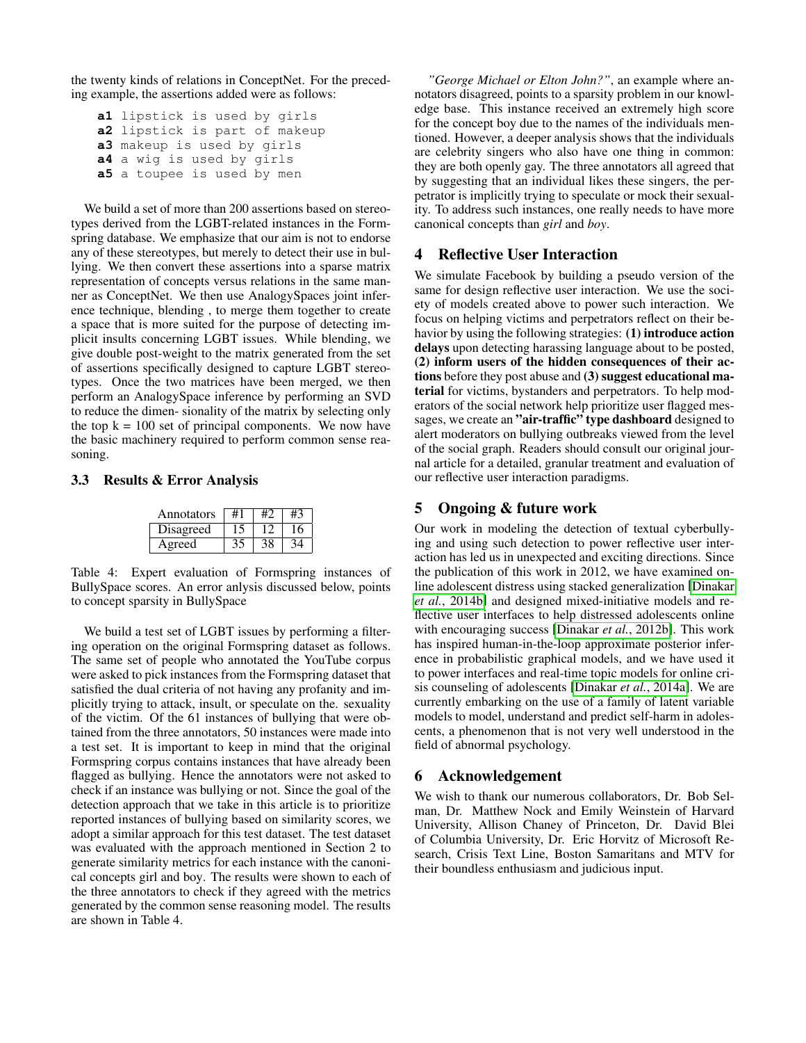the twenty kinds of relations in ConceptNet. For the preceding example, the assertions added were as follows:

**a1** lipstick is used by girls **a2** lipstick is part of makeup **a3** makeup is used by girls **a4** a wig is used by girls **a5** a toupee is used by men

We build a set of more than 200 assertions based on stereotypes derived from the LGBT-related instances in the Formspring database. We emphasize that our aim is not to endorse any of these stereotypes, but merely to detect their use in bullying. We then convert these assertions into a sparse matrix representation of concepts versus relations in the same manner as ConceptNet. We then use AnalogySpaces joint inference technique, blending , to merge them together to create a space that is more suited for the purpose of detecting implicit insults concerning LGBT issues. While blending, we give double post-weight to the matrix generated from the set of assertions specifically designed to capture LGBT stereotypes. Once the two matrices have been merged, we then perform an AnalogySpace inference by performing an SVD to reduce the dimen- sionality of the matrix by selecting only the top  $k = 100$  set of principal components. We now have the basic machinery required to perform common sense reasoning.

#### 3.3 Results & Error Analysis

| Annotators |  |  |
|------------|--|--|
| Disagreed  |  |  |
| Agreed     |  |  |

Table 4: Expert evaluation of Formspring instances of BullySpace scores. An error anlysis discussed below, points to concept sparsity in BullySpace

We build a test set of LGBT issues by performing a filtering operation on the original Formspring dataset as follows. The same set of people who annotated the YouTube corpus were asked to pick instances from the Formspring dataset that satisfied the dual criteria of not having any profanity and implicitly trying to attack, insult, or speculate on the. sexuality of the victim. Of the 61 instances of bullying that were obtained from the three annotators, 50 instances were made into a test set. It is important to keep in mind that the original Formspring corpus contains instances that have already been flagged as bullying. Hence the annotators were not asked to check if an instance was bullying or not. Since the goal of the detection approach that we take in this article is to prioritize reported instances of bullying based on similarity scores, we adopt a similar approach for this test dataset. The test dataset was evaluated with the approach mentioned in Section 2 to generate similarity metrics for each instance with the canonical concepts girl and boy. The results were shown to each of the three annotators to check if they agreed with the metrics generated by the common sense reasoning model. The results are shown in Table 4.

*"George Michael or Elton John?"*, an example where annotators disagreed, points to a sparsity problem in our knowledge base. This instance received an extremely high score for the concept boy due to the names of the individuals mentioned. However, a deeper analysis shows that the individuals are celebrity singers who also have one thing in common: they are both openly gay. The three annotators all agreed that by suggesting that an individual likes these singers, the perpetrator is implicitly trying to speculate or mock their sexuality. To address such instances, one really needs to have more canonical concepts than *girl* and *boy*.

# 4 Reflective User Interaction

We simulate Facebook by building a pseudo version of the same for design reflective user interaction. We use the society of models created above to power such interaction. We focus on helping victims and perpetrators reflect on their behavior by using the following strategies: (1) introduce action delays upon detecting harassing language about to be posted, (2) inform users of the hidden consequences of their actions before they post abuse and (3) suggest educational material for victims, bystanders and perpetrators. To help moderators of the social network help prioritize user flagged messages, we create an "air-traffic" type dashboard designed to alert moderators on bullying outbreaks viewed from the level of the social graph. Readers should consult our original journal article for a detailed, granular treatment and evaluation of our reflective user interaction paradigms.

### 5 Ongoing & future work

Our work in modeling the detection of textual cyberbullying and using such detection to power reflective user interaction has led us in unexpected and exciting directions. Since the publication of this work in 2012, we have examined online adolescent distress using stacked generalization [\[Dinakar](#page-4-6) *et al.*[, 2014b\]](#page-4-6) and designed mixed-initiative models and reflective user interfaces to help distressed adolescents online with encouraging success [\[Dinakar](#page-4-7) *et al.*, 2012b]. This work has inspired human-in-the-loop approximate posterior inference in probabilistic graphical models, and we have used it to power interfaces and real-time topic models for online crisis counseling of adolescents [\[Dinakar](#page-4-8) *et al.*, 2014a]. We are currently embarking on the use of a family of latent variable models to model, understand and predict self-harm in adolescents, a phenomenon that is not very well understood in the field of abnormal psychology.

#### 6 Acknowledgement

We wish to thank our numerous collaborators, Dr. Bob Selman, Dr. Matthew Nock and Emily Weinstein of Harvard University, Allison Chaney of Princeton, Dr. David Blei of Columbia University, Dr. Eric Horvitz of Microsoft Research, Crisis Text Line, Boston Samaritans and MTV for their boundless enthusiasm and judicious input.